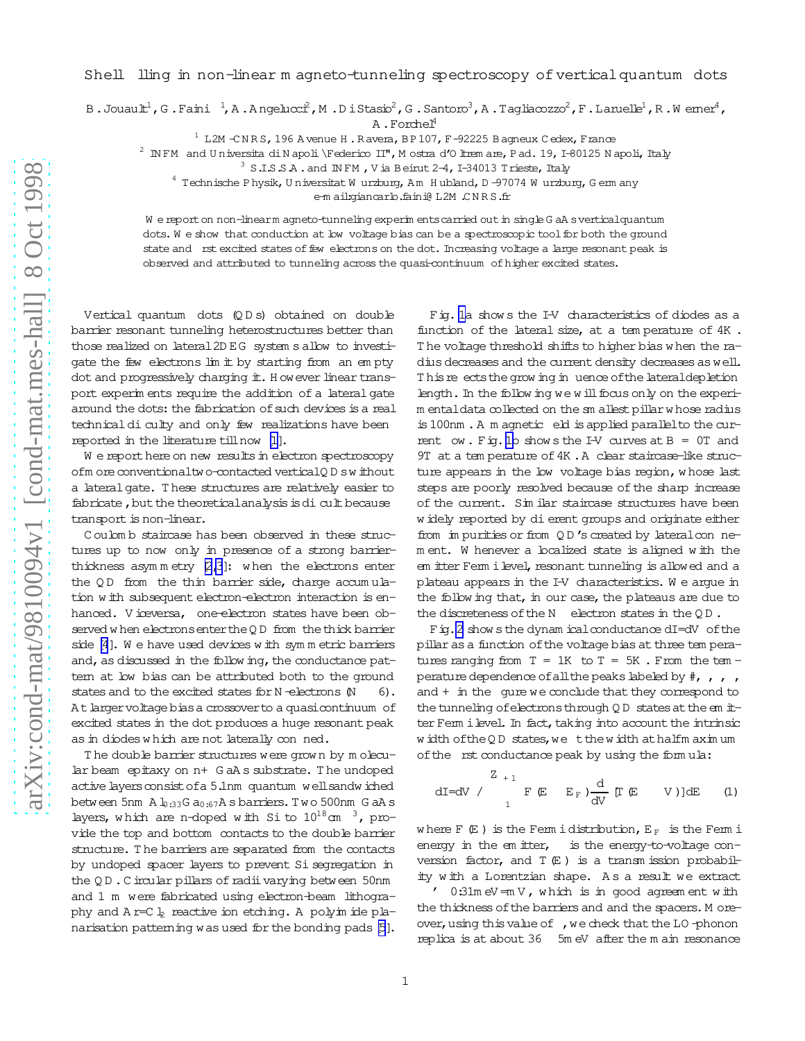Shell lling in non-linear m agneto-tunneling spectroscopy of vertical quantum dots

B.Jouau $\mathbb{L}^1$ , G.Faini  $^1$ , A.A ngelucci<sup>2</sup>, M.D i Stasio<sup>2</sup>, G.Santoro<sup>3</sup>, A.Tagliacozzo<sup>2</sup>, F.Laruelle<sup>1</sup>, R.W erner<sup>4</sup>,

 $A$ . Forchel<sup>4</sup>

 $1$  L2M  $\texttt{-CNRS}$ , 196 A venue H. Ravera, BP107, F-92225 B agneux C edex, France

 $^2$  IN FM and U niversita di N apoli \Federico II", M ostra d'O ltrem are, P ad. 19, I-80125 N apoli, Italy

 $^3$  S.I.S.S.A . and IN FM , V ia Beirut 2–4, I–34013 Trieste, Italy

 $^4$  Technische Physik, U niversitat W urzburg, A m H ubland, D –97074 W urzburg, G erm any

e-m ail:giancarlo.faini@ L2M .C N R S.fr

W e report on non-linearm agneto-tunneling experim ents carried out in single G aA svertical quantum dots. We show that conduction at low voltage bias can be a spectroscopic tool for both the ground state and rst excited states of few electrons on the dot. Increasing voltage a large resonant peak is observed and attributed to tunneling across the quasi-continuum ofhigher excited states.

Vertical quantum dots (Q D s) obtained on double barrier resonant tunneling heterostructures better than those realized on lateral2D EG system s allow to investigate the few electrons lim it by starting from an empty dot and progressively charging it. H owever linear transport experim ents require the addition of a lateral gate around the dots: the fabrication of such devices is a real technical diculty and only few realizations have been reported in the literature tillnow [\[1\]](#page-2-0).

W e report here on new results in electron spectroscopy ofm ore conventionaltwo-contacted verticalQ D sw ithout a lateralgate. T hese structures are relatively easier to fabricate, but the theoretical analysis is dicult because transport is non-linear.

C oulom b staircase has been observed in these structures up to now only in presence of a strong barrierthickness asymmetry  $[2,3]$ : when the electrons enter the  $QD$  from the thin barrier side, charge accumulation w ith subsequent electron-electron interaction is enhanced. V iceversa, one-electron states have been observed w hen electrons enter the Q D from the thick barrier side [\[4](#page-3-0)]. W e have used devices w ith sym m etric barriers and, as discussed in the follow ing, the conductance pattem at low bias can be attributed both to the ground states and to the excited states for  $N$  -electrons  $(N - 6)$ . At larger voltage bias a crossover to a quasicontinuum of excited states in the dot produces a huge resonant peak as in diodes which are not laterally conned.

The double barrier structures were grown by molecular beam epitaxy on n+ G aA s substrate. T he undoped active layers consist of a 5.1nm quantum well sandw iched between 5nm  $A \downarrow 33$ G a<sub>0:67</sub>A s barriers. Two 500nm G aA s layers, which are n-doped with Si to  $10^{18}$ cm  $3$ , provide the top and bottom contacts to the double barrier structure. T he barriers are separated from the contacts by undoped spacer layers to prevent Si segregation in the  $Q D$ . C ircular pillars of radiivarying between 50nm and 1 m were fabricated using electron-beam lithography and  $A$  r=C  $\frac{1}{2}$  reactive ion etching. A polyim ide pla-narisation patterning was used for the bonding pads [\[5](#page-3-0)].

Fig. [1a](#page-3-0) show s the I-V characteristics of diodes as a function of the lateral size, at a tem perature of 4K . T he voltage threshold shifts to higher bias w hen the radius decreases and the current density decreases as well. T hisre
ectsthegrow ing in
uenceofthelateraldepletion length. In the follow ing we w ill focus only on the experim entaldata collected on the sm allest pillar w hose radius is100nm .A m agnetic eld isapplied parallelto the cur-rent ow. Fig. [1b](#page-3-0) shows the I-V curves at  $B = 0T$  and 9T at a tem perature of 4K. A clear staircase-like structure appears in the low voltage bias region, whose last steps are poorly resolved because of the sharp increase of the current. Sim ilar staircase structures have been w idely reported by dierent groups and originate either from im purities or from QD's created by lateral con nem ent. W henever a localized state is aligned w ith the em itter Ferm i level, resonant tunneling is allowed and a plateau appears in the I-V characteristics. W e argue in the follow ing that, in our case, the plateaus are due to the discreteness of the  $N$  electron states in the  $QD$ .

Fig. 2 show sthe dynam ical conductance dI=dV of the pillar as a function of the voltage bias at three tem peratures ranging from  $T = 1K$  to  $T = 5K$ . From the tem perature dependence of all the peaks labeled by  $\#$ , , , , and  $+$  in the gure we conclude that they correspond to the tunneling of electronsthrough  $Q D$  states at the em itter Ferm i level. In fact, taking into account the intrinsic width of the QD states, we t the width at half m aximum of the rst conductance peak by using the formula:

$$
dI = dV / \sum_{1}^{Z_{+1}} F(E - E_{F}) \frac{d}{dV} [T(E - V)]dE \qquad (1)
$$

where  $F(E)$  is the Ferm idistribution,  $E_F$  is the Ferm i energy in the em itter, is the energy-to-voltage conversion factor, and  $T(E)$  is a transm ission probability w ith a Lorentzian shape. A s a result we extract

 $'$  0:31m eV = m V, w hich is in good agreem ent with the thickness of the barriers and and the spacers. M oreover, using this value of , we check that the LO-phonon replica is at about 36 5m eV after the m ain resonance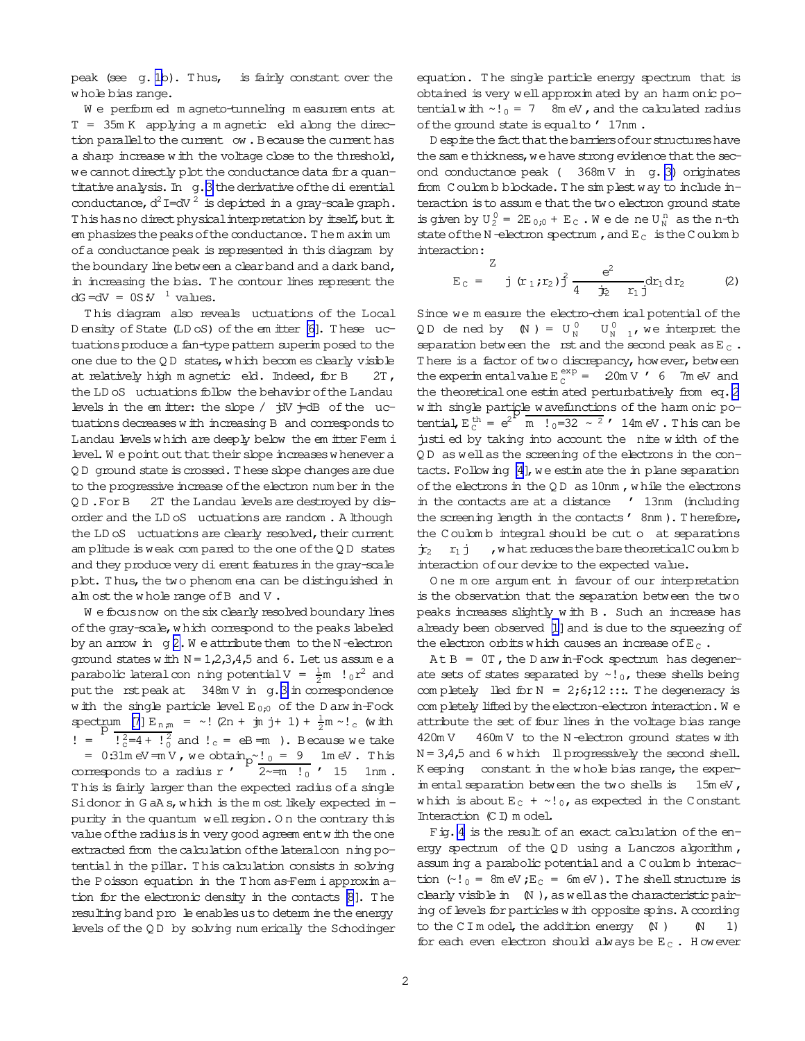peak (see g. [1b](#page-3-0)). Thus, is fairly constant over the w hole bias range.

We performed magneto-tunneling measurements at  $T = 35m K$  applying a m agnetic eld along the direction parallel to the current ow. Because the current has a sharp increase w ith the voltage close to the threshold, we cannot directly plot the conductance data for a quan-titative analysis. In g.[3](#page-3-0) the derivative of the dierential conductance,  $d^2I = dV^2$  is depicted in a gray-scale graph. Thishas no direct physical interpretation by itself, but it em phasizes the peaks of the conductance. The m axim um ofa conductance peak is represented in this diagram by the boundary line between a clear band and a dark band, in increasing the bias. T he contour lines represent the  $dG = dV = 0S \cdot V^{-1}$  values.

T his diagram also reveals 
uctuations of the Local D ensity of State (LD oS) of the em itter [\[6\]](#page-3-0). These uctuationsproduce a fan-type pattern superim posed to the one due to the  $Q D$  states, w hich becom es clearly visible at relatively high m agnetic eld. Indeed, for B 2T, the LD oS uctuations follow the behavior of the Landau levels in the em itter: the slope  $/$   $\dot{\tau}$ dV  $\dot{\tau}$ dB of the uctuations decreases w ith increasing B and corresponds to Landau levels w hich are deeply below the em itter Ferm i level. We point out that their slope increases w henever a Q D ground state iscrossed.T hese slope changesare due to the progressive increase of the electron num ber in the Q D .ForB 2T the Landau levelsare destroyed by disorder and the LD oS 
uctuations are random . A lthough the LD oS uctuations are clearly resolved, their current am plitude isweak com pared to the one ofthe Q D states and they produce very dierent features in the gray-scale plot. Thus, the two phenom ena can be distinguished in alm ost the w hole range of B and V.

We focus now on the six clearly resolved boundary lines ofthe gray-scale,w hich correspond to the peaks labeled by an arrow in  $g 2.$  $g 2.$  W e attribute them to the N-electron ground states w ith  $N = 1,2,3,4,5$  and 6. Let us assume a parabolic lateral con ning potential  $V = \frac{1}{2}m$  !  $0r^2$  and put the rst peak at  $348mV$  $348mV$  in  $q.3$  in correspondence w ith the single particle level  $E_{0;0}$  of the D arw in-Fock  $\sec{\frac{m m}{p}} = \frac{m}{\sqrt{p}} = \frac{m}{p} = \frac{1}{2} (2n + \frac{1}{2}m) + \frac{1}{2}m \sim !c$  (with ! =  $\frac{1}{2}$  $\frac{2}{3}$  =4 +  $\frac{1}{2}$  and  $\frac{1}{2}$  = eB = m ). Because we take =  $0.31$ m eV = m V, we obtain  $p^{\sim}$   $\frac{1}{0}$  =  $\frac{9}{1}$  1m eV. This corresponds to a radius r'  $\frac{P}{2 \sim m}$   $\frac{1}{0}$  ' 15 1nm. This is fairly larger than the expected radius of a single Sidonor in G aA s, which is the m ost likely expected im  $$ purity in the quantum well region. On the contrary this value of the radius is in very good agreem entw ith the one extracted from the calculation of the lateral con ning potential in the pillar. This calculation consists in solving the Poisson equation in the Thom as-Ferm i approximation for the electronic density in the contacts [\[8](#page-3-0)]. T he resulting band pro le enables us to determ ine the energy levels ofthe Q D by solving num erically the Schodinger equation. The single particle energy spectrum that is obtained is very wellapproxim ated by an harm onic potential with  $\sim$ ! $_0$  = 7 8m eV, and the calculated radius of the ground state is equalto ' 17nm.

D espite the fact that the barriers of our structures have the sam ethickness, we have strong evidence that the second conductance peak ( $368mV$  in q. [3\)](#page-3-0) originates from C oulom b blockade. The simplest way to include interaction is to assum e that the two electron ground state is given by  $U_2^0 = 2E_{0i0} + E_C$ . We dene  $U_N^{\text{n}}$  as the n-th state of the N-electron spectrum, and  $E_C$  is the C oulom b interaction:

$$
E_C = \frac{Z}{j (r_1, r_2) \frac{2}{j}} \frac{e^2}{4 \frac{r_2}{r_1} (r_1 dr_2)}.
$$
 (2)

Since we m easure the electro-chem ical potential of the QD dened by  $(N) = U_N^0$  $\overline{U_N^0}$   $\overline{U_N^0}$   $\overline{U_N^0}$  we interpret the separation between the rst and the second peak as  $E_C$ . There is a factor of two discrepancy, however, between the experim entalvalue  $E_C^{exp} = 20mV$  ' 6 7m eV and the theoretical one estim ated perturbatively from eq. 2 w ith single particle wavefunctions of the harm onic pow in single particle wave includes of the name only po-<br>tential,  $E_C^{th} = e^{2^L} \text{ m}$   $1_0 = 32 \sim 2$   $\prime$  14m eV. This can be justied by taking into account the nite w idth of the QD as well as the screening of the electrons in the con- $tacts. Follow in q [4], we estimate the in plane separation$  $tacts. Follow in q [4], we estimate the in plane separation$  $tacts. Follow in q [4], we estimate the in plane separation$ of the electrons in the  $QD$  as  $10nm$ , while the electrons in the contacts are at a distance ' 13nm (including the screening length in the contacts' 8nm). Therefore, the C oulom b integral should be cut o at separations  $\dot{\mathbf{r}}_2$   $\mathbf{r}_1$  j, w hat reduces the bare theoretical C oulom b interaction of our device to the expected value.

O ne m ore argum ent in favour of our interpretation is the observation that the separation between the two peaks increases slightly w ith B . Such an increase has already been observed [\[1\]](#page-2-0) and is due to the squeezing of the electron orbits which causes an increase of E<sub>C</sub>.

 $At B = 0T$ , the D arw in-Fock spectrum has degenerate sets of states separated by  $\sim$ ! 0, these shells being com pletely lled for  $N = 2,6,12;...$  The degeneracy is com pletely lifted by the electron-electron interaction. We attribute the set of four lines in the voltage bias range 420m V 460m V to the N-electron ground states with  $N = 3,4,5$  and 6 w hich ll progressively the second shell. K eeping constant in the w hole bias range, the experim ental separation between the two shells is 15m eV, which is about  $E_C + \sim l_0$ , as expected in the Constant Interaction (C I) m odel.

Fig. [4](#page-3-0) is the result of an exact calculation of the energy spectrum of the QD using a Lanczos algorithm, assum ing a parabolic potentialand a C oulom b interaction  $(\sim!)_0 = 8$ m eV;  $E_C = 6$ m eV). The shell structure is clearly visible in  $(N)$ , as well as the characteristic pairing of levels for particles w ith opposite spins. A ccording to the C I m odel, the addition energy  $(N)$   $(N 1)$ for each even electron should always be  $E_C$ . However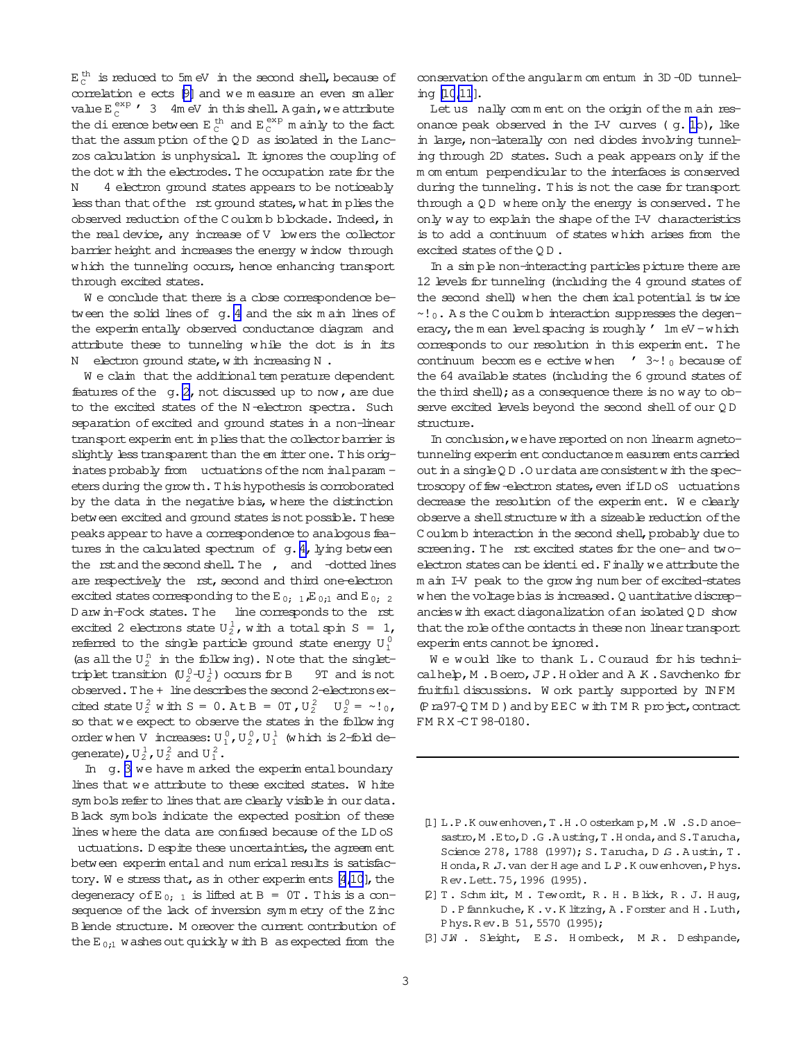<span id="page-2-0"></span> $E_C^{th}$  is reduced to 5m eV in the second shell, because of correlation e ects [\[9\]](#page-3-0) and we m easure an even sm aller value  $E_C^{exp}$  / 3 4m eV in this shell. A gain, we attribute the dierence between  $E_C^{th}$  and  $E_C^{exp}$  m ainly to the fact that the assum ption of the  $QD$  as isolated in the Lanczos calculation is unphysical. It ignores the coupling of the dot w ith the electrodes.T he occupation rate for the N 4 electron ground states appears to be noticeably less than that of the rst ground states, what in plies the observed reduction of the C oulom b blockade. Indeed, in the real device, any increase of V lowers the collector barrier height and increases the energy w indow through which the tunneling occurs, hence enhancing transport through excited states.

We conclude that there is a close correspondence be-tween the solid lines of g. [4](#page-3-0) and the six m ain lines of the experim entally observed conductance diagram and attribute these to tunneling w hile the dot is in its N electron ground state, w ith increasing N.

W e claim that the additional tem perature dependent features of the  $q$ .  $2$ , not discussed up to now, are due to the excited states of the N-electron spectra. Such separation of excited and ground states in a non-linear transport experim ent im plies that the collector barrier is slightly less transparent than the em itter one. This originates probably from uctuations of the nom inalparam eters during the grow th. This hypothesis is corroborated by the data in the negative bias, where the distinction between excited and ground states is not possible. These peaks appear to have a correspondence to analogous features in the calculated spectrum of  $g.4$ , lying between the rst and the second shell. The , and -dotted lines are respectively the rst, second and third one-electron excited states corresponding to the E<sub>0</sub>;  $_1$ , E<sub>0;1</sub> and E<sub>0</sub>; 2 D arw in-Fock states. The line corresponds to the rst excited 2 electrons state  $U_2^1$ , with a total spin S = 1, referred to the single particle ground state energy  $U_1^0$ (as all the  $U_2^n$  in the following). Note that the singlettriplet transition  $(U_2^0-U_2^1)$  occurs for B 9T and is not observed. The + line describes the second 2-electrons excited state  $U_2^2$  with  $S = 0$ . At  $B = 0$ T,  $U_2^2$   $U_2^0 = \gamma!$ <sub>0</sub>, so that we expect to observe the states in the follow ing order when V increases:  $U_1^0$ ,  $U_2^0$ ,  $U_1^1$  (which is 2-fold degenerate),  $U_2^1$ ,  $U_2^2$  and  $U_1^2$ .

In g. [3](#page-3-0) we have m arked the experim ental boundary lines that we attribute to these excited states. W hite sym bols refer to lines that are clearly visible in our data. Black sym bols indicate the expected position of these lines where the data are confused because of the LD oS uctuations. D espite these uncertainties, the agreem ent between experim ental and num erical results is satisfactory. We stress that, as in other experim ents  $[4,10]$ , the degeneracy of E<sub>0; 1</sub> is lifted at B =  $0T$ . This is a consequence of the lack of inversion symmetry of the Zinc Blende structure. M oreover the current contribution of the  $E_{0:1}$  washes out quickly with B as expected from the

conservation ofthe angularm om entum in 3D -0D tunneling [\[10,11](#page-3-0)].

Let us nally comment on the origin of the main resonance peak observed in the I-V curves  $( g. 1b)$  $( g. 1b)$  $( g. 1b)$ , like in large, non-laterally con ned diodes involving tunneling through 2D states. Such a peak appears only if the m om entum perpendicular to the interfaces is conserved during the tunneling. This is not the case for transport through a QD where only the energy is conserved. The only way to explain the shape of the I-V characteristics is to add a continuum of states w hich arises from the excited states of the QD.

In a sim ple non-interacting particles picture there are 12 levels for tunneling (including the 4 ground states of the second shell) w hen the chem ical potential is tw ice ~!0. A s the C oulom b interaction suppresses the degeneracy, the m ean level spacing is roughly  $\prime$  1m eV -which corresponds to our resolution in this experim ent. T he continuum becom es e ective w hen  $\prime$  3~! 0 because of the 64 available states (including the 6 ground states of the third shell); as a consequence there is no way to observe excited levels beyond the second shell of our QD structure.

In conclusion, we have reported on non linearm agnetotunneling experim ent conductancem easurem ents carried out in a singleQD. Ourdata are consistent w ith the spectroscopy of few -electron states, even if LD oS uctuations decrease the resolution of the experim ent. W e clearly observe a shell structure w ith a sizeable reduction of the C oulom b interaction in the second shell, probably due to screening. The rst excited states for the one- and twoelectron states can be identi ed. Finally we attribute the m ain I-V peak to the grow ing num ber of excited-states when the voltage bias is increased. Q uantitative discrepanciesw ith exactdiagonalization ofan isolated Q D show that the role of the contacts in these non linear transport experim ents cannot be ignored.

We would like to thank L. Couraud for his technicalhelp, M. Boero, J.P. Holder and A K. Savchenko for fruitful discussions. W ork partly supported by IN FM (Pra97-Q TM D) and by EEC with TM R project, contract FM RX-CT 98-0180.

- [1] L.P.K ouwenhoven,T .H .O osterkam p,M .W .S.D anoesastro, M.Eto, D.G.Austing, T.Honda, and S.Tarucha, Science 278, 1788 (1997); S. Tarucha, D. G. Austin, T. H onda, R J. van der H age and L P.K ouwenhoven, Phys. R ev.Lett.75,1996 (1995).
- [2] T . Schm idt, M . Tewordt, R . H . B lick, R . J. H aug, D .Pfannkuche,K .v.K litzing,A .Forster and H .Luth, Phys.R ev.B 51,5570 (1995);
- [3] J.W . Sleight, E.S. Hombeck, M.R. Deshpande,